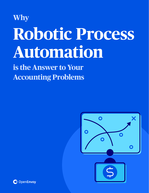# **Why Robotic Process Automation**

**is the Answer to Your Accounting Problems**



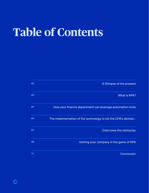## **Table of Contents**

G

| 03 | A Glimpse of the present                                     |
|----|--------------------------------------------------------------|
| 03 | What is RPA?                                                 |
| 04 | How your finance department can leverage automation tools    |
| 05 | The implementation of the technology is not the CPA's demise |
| 07 | Overcome the obstacles                                       |
| 80 | Getting your company in the game of RPA                      |
| 11 | Conclusion                                                   |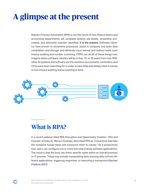## <span id="page-2-0"></span>**A glimpse at the present**

Robotic Process Automation (RPA) is not the future of how finance teams and accounting departments will complete tedious job duties, streamline processes, and efficiently maintain workflow. It is the present. Software robotics have proven to streamline processes, assist in company and team data compilation and storage, and eliminate once manual and tedious tasks such invoice auditing and number crunching. If RPA can do all of these things now, imagine where software robotics will be in five, 10, or 20 years from now. RPA, other AI systems and software are the solutions accountants, controllers, and CFOs have been searching for in order to save [time and money](https://openenvoy.com/blog/finance/time-vs-money-why-choose-when-you-can-save-both/) when it comes to how invoice auditing and accounting is done.



## **What is RPA?**

In a recent webinar titled RPA Disruption and Opportunity Creation, CEO and Founder of Duke AI, Marcus Cooksey, described RPA as "virtual bots that take the mundane human tasks and outsource them to robots." As a productivity tool, users can configure one or more bots that overlay software applications. The result is that the bots can mimic specific tasks within an overall business or IT process. These may include manipulating data, passing data to/from different applications, triggering responses, or executing a transaction ([Gartner](https://nividous.com/gartner-rpa-report-3-steps-to-start-your-rpa-journey?creative=513957797895&keyword=rpa&matchtype=e&network=g&device=c&gclid=CjwKCAjw7J6EBhBDEiwA5UUM2jtu52yrMTdgUrnasa19fnUBrYpBHzAKSar6rbl89aLXN2Dbodu-MxoCaXgQAvD_BwE) [Predicts 2021](https://nividous.com/gartner-rpa-report-3-steps-to-start-your-rpa-journey?creative=513957797895&keyword=rpa&matchtype=e&network=g&device=c&gclid=CjwKCAjw7J6EBhBDEiwA5UUM2jtu52yrMTdgUrnasa19fnUBrYpBHzAKSar6rbl89aLXN2Dbodu-MxoCaXgQAvD_BwE)).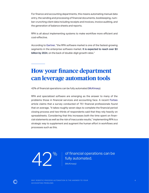<span id="page-3-0"></span>For finance and accounting departments, this means automating manual data entry, the sending and processing of financial documents, bookkeeping, number crunching client data including receipts and invoices, invoice auditing, and the generation of balance sheets and reports.

RPA is all about implementing systems to make workflow more efficient and cost-effective.

According to [Gartner](https://nividous.com/gartner-rpa-report-3-steps-to-start-your-rpa-journey?creative=513957797895&keyword=rpa&matchtype=e&network=g&device=c&gclid=CjwKCAjw7J6EBhBDEiwA5UUM2jtu52yrMTdgUrnasa19fnUBrYpBHzAKSar6rbl89aLXN2Dbodu-MxoCaXgQAvD_BwE), "the RPA software market is one of the fastest-growing segments in the enterprise software market. It is expected to reach over \$3 billion by 2024, on the back of double-digit growth rates."

## **How your finance department can leverage automation tools**

42% of financial operations can be fully automated ([McKinsey\)](https://www.mckinsey.com/business-functions/strategy-and-corporate-finance/our-insights/bots-algorithms-and-the-future-of-the-finance-function#).

RPA and specialized software are emerging as the answer to many of the problems those in financial services and accounting face. A recent [Forbes](https://www.forbes.com/sites/forbesnycouncil/2019/07/31/how-to-get-the-most-out-of-rpa-in-finance-and-accounting/?sh=74aa3b877cf3&utm_content=164567301&utm_medium=social&utm_source=linkedin&hss_channel=lcp-43237988) article claims that a survey conducted of 751 financial professionals found that on average, "it takes roughly seven days to complete the financial period closing process and two-thirds of respondents said that they rely heavily on spreadsheets. Considering that this increases both the time spent on financial statements as well as the risk of inaccurate results," implementing RPA is a strategic way to supplement and augment the human effort in workflows and processes such as this.



<sup>2</sup>% of financial operations can be fully automated. fully automated.

[\(McKinsey\)](https://www.mckinsey.com/business-functions/strategy-and-corporate-finance/our-insights/bots-algorithms-and-the-future-of-the-finance-function#)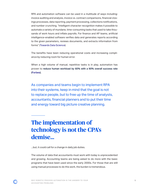<span id="page-4-0"></span>RPA and automation software can be used in a multitude of ways including: invoice auditing and analysis, invoice vs. contract comparisons, financial closings processes, data reporting, payment processing, collections notifications, and number crunching. "Intelligent character recognition makes it possible to automate a variety of mundane, time-consuming tasks that used to take thousands of work hours and inflate payrolls. For finance and AP teams, artificial intelligence-enabled software verifies data and generates reports according to the given parameters, reviews documents, and extracts information from forms" ([Towards Data Science\)](https://towardsdatascience.com/the-growing-impact-of-ai-in-financial-services-six-examples-da386c0301b2).

The benefits have been reducing operational costs and increasing compliance by reducing room for human error.

When a high volume of manual, repetitive tasks is in play, automation has proven to reduce human workload by 60% with a 90% overall success rate [\(Forbes](https://www.forbes.com/sites/forbesnycouncil/2019/07/31/how-to-get-the-most-out-of-rpa-in-finance-and-accounting/)).

As companies and teams begin to implement RPA into their systems, keep in mind that the goal is not to replace people, but to free up the time of analysts, accountants, financial planners and to put their time and energy toward big picture creative planning.

## **The implementation of technology is not the CPA's demise...**

...but, it could call for a change in daily job duties.

The volume of data that accountants must work with today is unprecedented and growing. Accounting teams are being asked to do more with the basic programs that have been used since the early 2000s. For those that are still using manual processes to do this work, the burden is tremendous.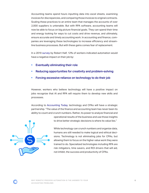Accounting teams spend hours inputting data into excel sheets, examining invoices for discrepancies, and comparing those invoices to original contracts. Scaling these practices to an entire team that manages the accounts of over 2,000 suppliers is untenable. But with RPA software, accounting teams will now be able to focus on big picture financial goals. They can spend their time and energy looking for ways to cut costs and drive revenue, and ultimately, ensure accurate and timely accounting work. In accounting and finance, companies are leveraging these technologies to increase efficiency and streamline business processes. But with these gains comes fear of replacement.

In a 2019 [survey](https://www.roberthalf.com/research-and-insights/workplace-research/the-future-of-work) by Robert Half, 12% of workers indicated automation would have a negative impact on their job by:

- Eventually eliminating their role
- Reducing opportunities for creativity and problem-solving
- Forcing excessive reliance on technology to do their job

However, workers who believe technology will have a positive impact on jobs recognize that AI and RPA will require them to develop new skills and processes.

According to [Accounting Today,](https://www.accountingtoday.com/opinion/no-automation-wont-kill-the-cpa?utm_content=163921332&utm_medium=social&utm_source=linkedin&hss_channel=lcp-43237988) technology and CPAs will have a strategic partnership. "The value of the finance and accounting team has never been its ability to count and crunch numbers. Rather, its power to analyze financial and

operational results of the business and use those insights to drive better strategic decisions is where its value lies."



While technology can crunch numbers and organize data, humans are still needed to make logical and ethical decisions. Technology is not eliminating jobs for CPAs, but allowing them to focus on the higher value work they were trained to do. Specialized technologies including RPA are risk mitigators, time savers, and ROI drivers that will aid, not inhibit, the success and productivity of CPAs.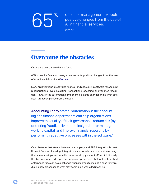<span id="page-6-0"></span>

**65% of senior management expects**<br>positive changes from the use c<br>Al in financial services. positive changes from the use of AI in financial services.

[\(Forbes\)](https://www.forbes.com/sites/rogeraitken/2018/11/28/global-financial-services-bullish-on-ai-the-disruptive-tech-frontrunner/#35d7792e2311)

### **Overcome the obstacles**

Others are doing it, so why aren't you?

65% of senior financial management expects positive changes from the use of AI in financial services ([Forbes\)](https://www.forbes.com/sites/rogeraitken/2018/11/28/global-financial-services-bullish-on-ai-the-disruptive-tech-frontrunner/#35d7792e2311).

Many organizations already use financial and accounting software for account reconciliations, invoice auditing, transaction processing, and variance resolution. However, the automation component is a game changer and is what sets apart great companies from the good.

[Accounting Today](https://www.accountingtoday.com/opinion/no-automation-wont-kill-the-cpa) states: "automation in the accounting and finance departments can help organizations improve the quality of their governance, reduce risk [by detecting fraud], deliver more insight, better manage working capital, and improve financial reporting by performing repetitive processes within the software."

One obstacle that stands between a company and RPA integration is cost. Upfront fees for licensing, integrations, and on-demand support are things that some startups and small businesses simply cannot afford. Additionally, the bureaucracy, red tape, and approval processes that well-established enterprises face can be a challenge when it comes to making a case for introducing new processes to what may seem like a well-oiled machine.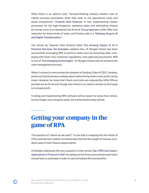<span id="page-7-0"></span>While there is an upfront cost, "forward-thinking industry leaders look to robotic process automation when they want to cut operational costs and boost productivity" ([Towards Data Science\)](https://towardsdatascience.com/the-growing-impact-of-ai-in-financial-services-six-examples-da386c0301b2). In fact, implementing robotic processes for the high-frequency, repetitive tasks and eliminating chance for human error is so beneficial that Ernst & Young [reported](https://www.ey.com/Publication/vwLUAssets/EY_-_Robotic_process_automation_in_the_Finance_function_of_the_future/$FILE/EY-robotic-process-automation-in-the-finance-function-of-the-future-2016.pdf) a 50%-70% cost reduction for these kinds of tasks, and Forbes calls it a "[Gateway Drug to AI](https://www.forbes.com/sites/tomdavenport/2018/10/29/robotic-process-automation-a-gateway-drug-to-ai-and-digital-transformation/?sh=763afbcb3a70) [and Digital Transformation.](https://www.forbes.com/sites/tomdavenport/2018/10/29/robotic-process-automation-a-gateway-drug-to-ai-and-digital-transformation/?sh=763afbcb3a70)"

The article by Towards Data Science titled [The Growing Impact of AI in](https://towardsdatascience.com/the-growing-impact-of-ai-in-financial-services-six-examples-da386c0301b2) [Financial Services: Six Examples](https://towardsdatascience.com/the-growing-impact-of-ai-in-financial-services-six-examples-da386c0301b2) explains how JP Morgan Chase has been successfully leveraging RPA to perform tasks such as extracting data, complying with Know Your Customer regulations, and capturing documents. RPA is one of "[five emerging technologies](https://www.jpmorgan.com/global/cib/ts/demystifying-tech)" JP Morgan Chase uses to enhance the cash management process.

When it comes to overcoming the obstacle of funding, Duke AI CEO, Cooksey, points out that business is always about determining where more profit can be made. However, he notes that if back end costs are reduced (by 50%-70% as pointed out by Ernst and Young), then there is no need to stretch to find ways to increase profit.

Funding and implementing RPA software will be easier for some than others, but the longer your company waits, the further behind they will fall.

## **Getting your company in the game of RPA**

The question of "where do we start?" is one that is creeping into the minds of CFOs and decision makers at enterprises that feel the weight of manual, mundane tasks of their finance departments.

AI Multiple addresses this very question in their article [Top 4 RPA Use Cases /](https://research.aimultiple.com/rpa-finance/?utm_content=162756123&utm_medium=social&utm_source=linkedin&hss_channel=lcp-43237988) [Applications in Finance in 2021](https://research.aimultiple.com/rpa-finance/?utm_content=162756123&utm_medium=social&utm_source=linkedin&hss_channel=lcp-43237988) by laying out the finance processes each team should look to automate in order to see immediate ROI and benefits.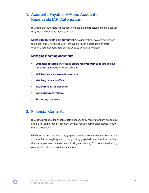#### 1. Accounts Payable (AP) and Accounts Receivable (AR) Automation

RPA bots can automate most accounts payable and receivable tasks because they include repetitive tasks, such as:

**Managing outgoing documents:** Auto generating invoices and orders to be sent out. Offers received from suppliers can be used to generate orders. Customer contracts can be used to generate invoices.

#### Managing incoming documents:

- Extracting data from invoices or orders received from suppliers and customers in numerous different formats
- Matching invoices to purchase orders
- Matching orders to offers
- Invoice routing for approvals
- Invoice filing and retrieval
- Processing payments

#### 2. Financial Controls

RPA bots produce dependable data because they follow standard procedure and do not skip steps by accident so they reduce compliance issues in automated processes.

RPA bots can also be used to aggregate compliance-related data from various sources into a single system. Using this aggregated data, the finance function can implement necessary monitoring and alerting functionality to identify oversights and errors in a timely manner.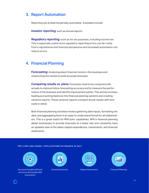#### 3. Report Automation

Reporting can at least be partially automated. Examples include:

**Investor reporting:** such as annual reports

**Regulatory reporting:** such as for tax purposes, including income tax. This is especially useful since regulatory reporting errors can be costly from a reputational and financial perspective and increased automation can reduce errors.

#### 4. Financial Planning

Forecasting: Analyzing latest financial trends in the business and researching the market to build accurate forecasts

Comparing results vs. plans: Forecasts need to be compared with actuals to improve future forecasting accuracy and to measure the performance of the business and identify improvement points. This activity involves loading accounting balances into financial planning systems and creating variance reports. These variance reports compare actual results with forecasts in detail.

Both financial planning activities involve gathering data inputs, formatting the data, and aggregating them in an easy-to-understand format for all stakeholders. This is a great match for RPA bots' capabilities. RPA in financial planning allows businesses to provide forecasts at a faster rate and constantly have an updated view of the latest capital expenditures, investments, and financial statements.

#### TOP 4 RPA USE CASES / APPLICATIONS IN FINANCE IN 2021



Accounts Payable (AP) and Accounts Recievable (AR) Automation



Financial Controls **Report Automation** Financial Planning



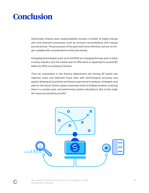## <span id="page-10-0"></span>**Conclusion**

Historically, finance team responsibilities include a number of highly manual and time-intensive processes such as account reconciliations and manual journal entries. The processes of the past were once effective, but are no longer scalable with consideration to time and money.

Emerging technologies such as AI and RPA are changing the way work is done in every industry and the market size for RPA alone is expected to exceed \$3 billion by 2024, according to Gartner.

Thus far, automation in the finance department and among AP teams has reduced costs and detected fraud risks with technological accuracy and speed, allowing accountants and finance personnel to analyze, strategize, and plan for the future. Entire careers have been built on finding numbers, entering them in a certain spot, and performing routine calculations. But is that really the value accountants provide?



▔▆